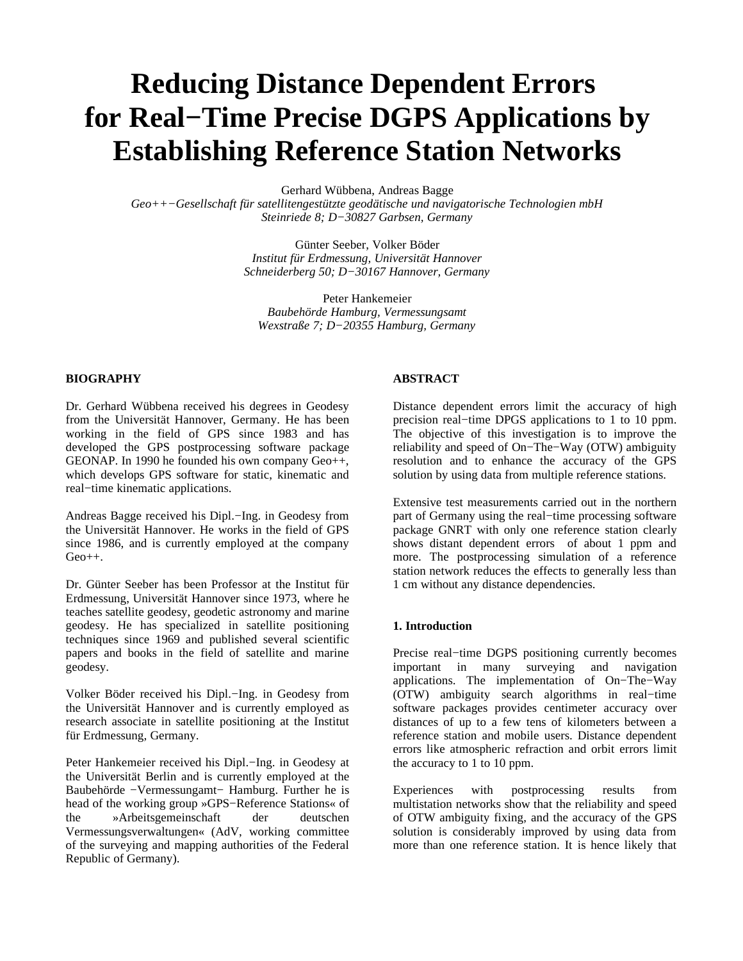# **Reducing Distance Dependent Errors for Real−Time Precise DGPS Applications by Establishing Reference Station Networks**

Gerhard Wübbena, Andreas Bagge

*Geo++−Gesellschaft für satellitengestützte geodätische und navigatorische Technologien mbH Steinriede 8; D−30827 Garbsen, Germany*

> Günter Seeber, Volker Böder *Institut für Erdmessung, Universität Hannover Schneiderberg 50; D−30167 Hannover, Germany*

Peter Hankemeier *Baubehörde Hamburg, Vermessungsamt Wexstraße 7; D−20355 Hamburg, Germany*

# **BIOGRAPHY**

Dr. Gerhard Wübbena received his degrees in Geodesy from the Universität Hannover, Germany. He has been working in the field of GPS since 1983 and has developed the GPS postprocessing software package GEONAP. In 1990 he founded his own company Geo++, which develops GPS software for static, kinematic and real−time kinematic applications.

Andreas Bagge received his Dipl.−Ing. in Geodesy from the Universität Hannover. He works in the field of GPS since 1986, and is currently employed at the company Geo++.

Dr. Günter Seeber has been Professor at the Institut für Erdmessung, Universität Hannover since 1973, where he teaches satellite geodesy, geodetic astronomy and marine geodesy. He has specialized in satellite positioning techniques since 1969 and published several scientific papers and books in the field of satellite and marine geodesy.

Volker Böder received his Dipl.−Ing. in Geodesy from the Universität Hannover and is currently employed as research associate in satellite positioning at the Institut für Erdmessung, Germany.

Peter Hankemeier received his Dipl.−Ing. in Geodesy at the Universität Berlin and is currently employed at the Baubehörde −Vermessungamt− Hamburg. Further he is head of the working group »GPS−Reference Stations« of the »Arbeitsgemeinschaft der deutschen Vermessungsverwaltungen« (AdV, working committee of the surveying and mapping authorities of the Federal Republic of Germany).

# **ABSTRACT**

Distance dependent errors limit the accuracy of high precision real−time DPGS applications to 1 to 10 ppm. The objective of this investigation is to improve the reliability and speed of On−The−Way (OTW) ambiguity resolution and to enhance the accuracy of the GPS solution by using data from multiple reference stations.

Extensive test measurements carried out in the northern part of Germany using the real−time processing software package GNRT with only one reference station clearly shows distant dependent errors of about 1 ppm and more. The postprocessing simulation of a reference station network reduces the effects to generally less than 1 cm without any distance dependencies.

#### **1. Introduction**

Precise real–time DGPS positioning currently becomes<br>important in many surveying and navigation surveying and navigation applications. The implementation of On−The−Way (OTW) ambiguity search algorithms in real−time software packages provides centimeter accuracy over distances of up to a few tens of kilometers between a reference station and mobile users. Distance dependent errors like atmospheric refraction and orbit errors limit the accuracy to 1 to 10 ppm.

Experiences with postprocessing results from multistation networks show that the reliability and speed of OTW ambiguity fixing, and the accuracy of the GPS solution is considerably improved by using data from more than one reference station. It is hence likely that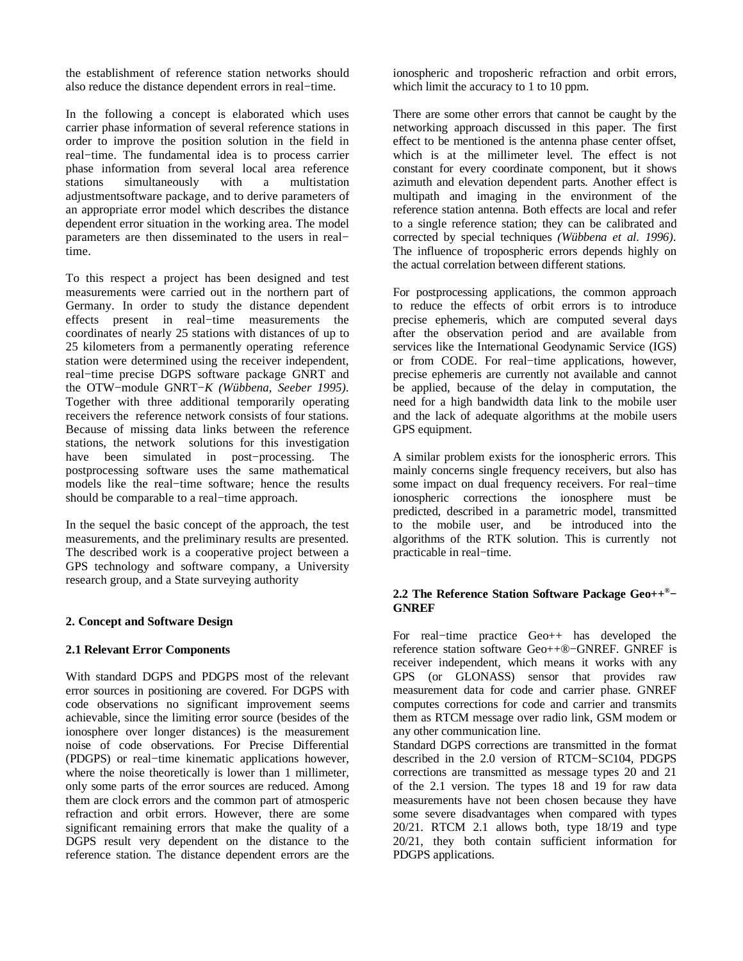the establishment of reference station networks should also reduce the distance dependent errors in real−time.

In the following a concept is elaborated which uses carrier phase information of several reference stations in order to improve the position solution in the field in real−time. The fundamental idea is to process carrier phase information from several local area reference stations simultaneously with a multistation adjustmentsoftware package, and to derive parameters of an appropriate error model which describes the distance dependent error situation in the working area. The model parameters are then disseminated to the users in real− time.

To this respect a project has been designed and test measurements were carried out in the northern part of Germany. In order to study the distance dependent effects present in real−time measurements the coordinates of nearly 25 stations with distances of up to 25 kilometers from a permanently operating reference station were determined using the receiver independent, real−time precise DGPS software package GNRT and the OTW−module GNRT−*K (Wübbena, Seeber 1995)*. Together with three additional temporarily operating receivers the reference network consists of four stations. Because of missing data links between the reference stations, the network solutions for this investigation<br>have been simulated in post-processing. The have been simulated in post–processing. postprocessing software uses the same mathematical models like the real−time software; hence the results should be comparable to a real−time approach.

In the sequel the basic concept of the approach, the test measurements, and the preliminary results are presented. The described work is a cooperative project between a GPS technology and software company, a University research group, and a State surveying authority

# **2. Concept and Software Design**

#### **2.1 Relevant Error Components**

With standard DGPS and PDGPS most of the relevant error sources in positioning are covered. For DGPS with code observations no significant improvement seems achievable, since the limiting error source (besides of the ionosphere over longer distances) is the measurement noise of code observations. For Precise Differential (PDGPS) or real−time kinematic applications however, where the noise theoretically is lower than 1 millimeter, only some parts of the error sources are reduced. Among them are clock errors and the common part of atmosperic refraction and orbit errors. However, there are some significant remaining errors that make the quality of a DGPS result very dependent on the distance to the reference station. The distance dependent errors are the

ionospheric and troposheric refraction and orbit errors, which limit the accuracy to 1 to 10 ppm.

There are some other errors that cannot be caught by the networking approach discussed in this paper. The first effect to be mentioned is the antenna phase center offset, which is at the millimeter level. The effect is not constant for every coordinate component, but it shows azimuth and elevation dependent parts. Another effect is multipath and imaging in the environment of the reference station antenna. Both effects are local and refer to a single reference station; they can be calibrated and corrected by special techniques *(Wübbena et al. 1996)*. The influence of tropospheric errors depends highly on the actual correlation between different stations.

For postprocessing applications, the common approach to reduce the effects of orbit errors is to introduce precise ephemeris, which are computed several days after the observation period and are available from services like the International Geodynamic Service (IGS) or from CODE. For real−time applications, however, precise ephemeris are currently not available and cannot be applied, because of the delay in computation, the need for a high bandwidth data link to the mobile user and the lack of adequate algorithms at the mobile users GPS equipment.

A similar problem exists for the ionospheric errors. This mainly concerns single frequency receivers, but also has some impact on dual frequency receivers. For real−time ionospheric corrections the ionosphere must be predicted, described in a parametric model, transmitted to the mobile user, and be introduced into the algorithms of the RTK solution. This is currently not practicable in real−time.

# **2.2 The Reference Station Software Package Geo++ ®− GNREF**

For real−time practice Geo++ has developed the reference station software Geo++®−GNREF. GNREF is receiver independent, which means it works with any GPS (or GLONASS) sensor that provides raw measurement data for code and carrier phase. GNREF computes corrections for code and carrier and transmits them as RTCM message over radio link, GSM modem or any other communication line.

Standard DGPS corrections are transmitted in the format described in the 2.0 version of RTCM−SC104, PDGPS corrections are transmitted as message types 20 and 21 of the 2.1 version. The types 18 and 19 for raw data measurements have not been chosen because they have some severe disadvantages when compared with types 20/21. RTCM 2.1 allows both, type 18/19 and type 20/21, they both contain sufficient information for PDGPS applications.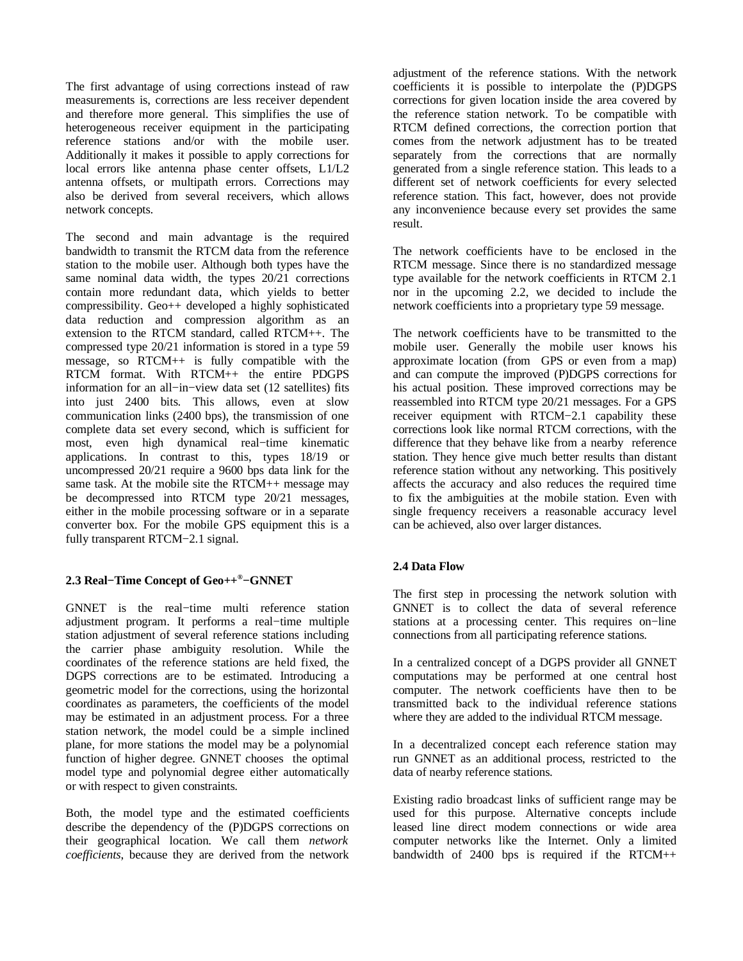The first advantage of using corrections instead of raw measurements is, corrections are less receiver dependent and therefore more general. This simplifies the use of heterogeneous receiver equipment in the participating reference stations and/or with the mobile user. Additionally it makes it possible to apply corrections for local errors like antenna phase center offsets, L1/L2 antenna offsets, or multipath errors. Corrections may also be derived from several receivers, which allows network concepts.

The second and main advantage is the required bandwidth to transmit the RTCM data from the reference station to the mobile user. Although both types have the same nominal data width, the types 20/21 corrections contain more redundant data, which yields to better compressibility. Geo++ developed a highly sophisticated data reduction and compression algorithm as an extension to the RTCM standard, called RTCM++. The compressed type 20/21 information is stored in a type 59 message, so RTCM++ is fully compatible with the RTCM format. With RTCM++ the entire PDGPS information for an all−in−view data set (12 satellites) fits into just 2400 bits. This allows, even at slow communication links (2400 bps), the transmission of one complete data set every second, which is sufficient for most, even high dynamical real−time kinematic applications. In contrast to this, types 18/19 or uncompressed 20/21 require a 9600 bps data link for the same task. At the mobile site the RTCM++ message may be decompressed into RTCM type 20/21 messages, either in the mobile processing software or in a separate converter box. For the mobile GPS equipment this is a fully transparent RTCM−2.1 signal.

# **2.3 Real−Time Concept of Geo++ ®−GNNET**

GNNET is the real−time multi reference station adjustment program. It performs a real−time multiple station adjustment of several reference stations including the carrier phase ambiguity resolution. While the coordinates of the reference stations are held fixed, the DGPS corrections are to be estimated. Introducing a geometric model for the corrections, using the horizontal coordinates as parameters, the coefficients of the model may be estimated in an adjustment process. For a three station network, the model could be a simple inclined plane, for more stations the model may be a polynomial function of higher degree. GNNET chooses the optimal model type and polynomial degree either automatically or with respect to given constraints.

Both, the model type and the estimated coefficients describe the dependency of the (P)DGPS corrections on their geographical location. We call them *network coefficients*, because they are derived from the network

adjustment of the reference stations. With the network coefficients it is possible to interpolate the (P)DGPS corrections for given location inside the area covered by the reference station network. To be compatible with RTCM defined corrections, the correction portion that comes from the network adjustment has to be treated separately from the corrections that are normally generated from a single reference station. This leads to a different set of network coefficients for every selected reference station. This fact, however, does not provide any inconvenience because every set provides the same result.

The network coefficients have to be enclosed in the RTCM message. Since there is no standardized message type available for the network coefficients in RTCM 2.1 nor in the upcoming 2.2, we decided to include the network coefficients into a proprietary type 59 message.

The network coefficients have to be transmitted to the mobile user. Generally the mobile user knows his approximate location (from GPS or even from a map) and can compute the improved (P)DGPS corrections for his actual position. These improved corrections may be reassembled into RTCM type 20/21 messages. For a GPS receiver equipment with RTCM−2.1 capability these corrections look like normal RTCM corrections, with the difference that they behave like from a nearby reference station. They hence give much better results than distant reference station without any networking. This positively affects the accuracy and also reduces the required time to fix the ambiguities at the mobile station. Even with single frequency receivers a reasonable accuracy level can be achieved, also over larger distances.

# **2.4 Data Flow**

The first step in processing the network solution with GNNET is to collect the data of several reference stations at a processing center. This requires on−line connections from all participating reference stations.

In a centralized concept of a DGPS provider all GNNET computations may be performed at one central host computer. The network coefficients have then to be transmitted back to the individual reference stations where they are added to the individual RTCM message.

In a decentralized concept each reference station may run GNNET as an additional process, restricted to the data of nearby reference stations.

Existing radio broadcast links of sufficient range may be used for this purpose. Alternative concepts include leased line direct modem connections or wide area computer networks like the Internet. Only a limited bandwidth of 2400 bps is required if the RTCM++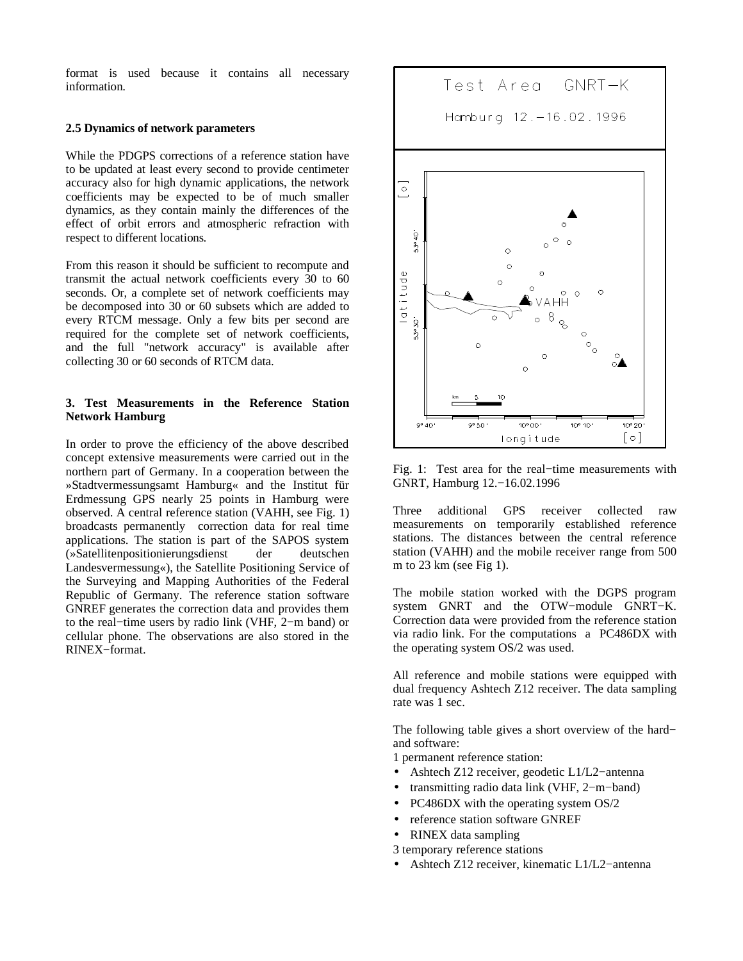format is used because it contains all necessary information.

#### **2.5 Dynamics of network parameters**

While the PDGPS corrections of a reference station have to be updated at least every second to provide centimeter accuracy also for high dynamic applications, the network coefficients may be expected to be of much smaller dynamics, as they contain mainly the differences of the effect of orbit errors and atmospheric refraction with respect to different locations.

From this reason it should be sufficient to recompute and transmit the actual network coefficients every 30 to 60 seconds. Or, a complete set of network coefficients may be decomposed into 30 or 60 subsets which are added to every RTCM message. Only a few bits per second are required for the complete set of network coefficients, and the full "network accuracy" is available after collecting 30 or 60 seconds of RTCM data.

# **3. Test Measurements in the Reference Station Network Hamburg**

In order to prove the efficiency of the above described concept extensive measurements were carried out in the northern part of Germany. In a cooperation between the »Stadtvermessungsamt Hamburg« and the Institut für Erdmessung GPS nearly 25 points in Hamburg were observed. A central reference station (VAHH, see Fig. 1) broadcasts permanently correction data for real time applications. The station is part of the SAPOS system (»Satellitenpositionierungsdienst der deutschen Landesvermessung«), the Satellite Positioning Service of the Surveying and Mapping Authorities of the Federal Republic of Germany. The reference station software GNREF generates the correction data and provides them to the real−time users by radio link (VHF, 2−m band) or cellular phone. The observations are also stored in the RINEX−format.



Fig. 1: Test area for the real−time measurements with GNRT, Hamburg 12.−16.02.1996

Three additional GPS receiver collected raw measurements on temporarily established reference stations. The distances between the central reference station (VAHH) and the mobile receiver range from 500 m to 23 km (see Fig 1).

The mobile station worked with the DGPS program system GNRT and the OTW−module GNRT−K. Correction data were provided from the reference station via radio link. For the computations a PC486DX with the operating system OS/2 was used.

All reference and mobile stations were equipped with dual frequency Ashtech Z12 receiver. The data sampling rate was 1 sec.

The following table gives a short overview of the hard– and software:

1 permanent reference station:

- Ashtech Z12 receiver, geodetic L1/L2−antenna
- transmitting radio data link (VHF, 2−m−band)
- PC486DX with the operating system OS/2
- reference station software GNREF
- RINEX data sampling
- 3 temporary reference stations
- Ashtech Z12 receiver, kinematic L1/L2−antenna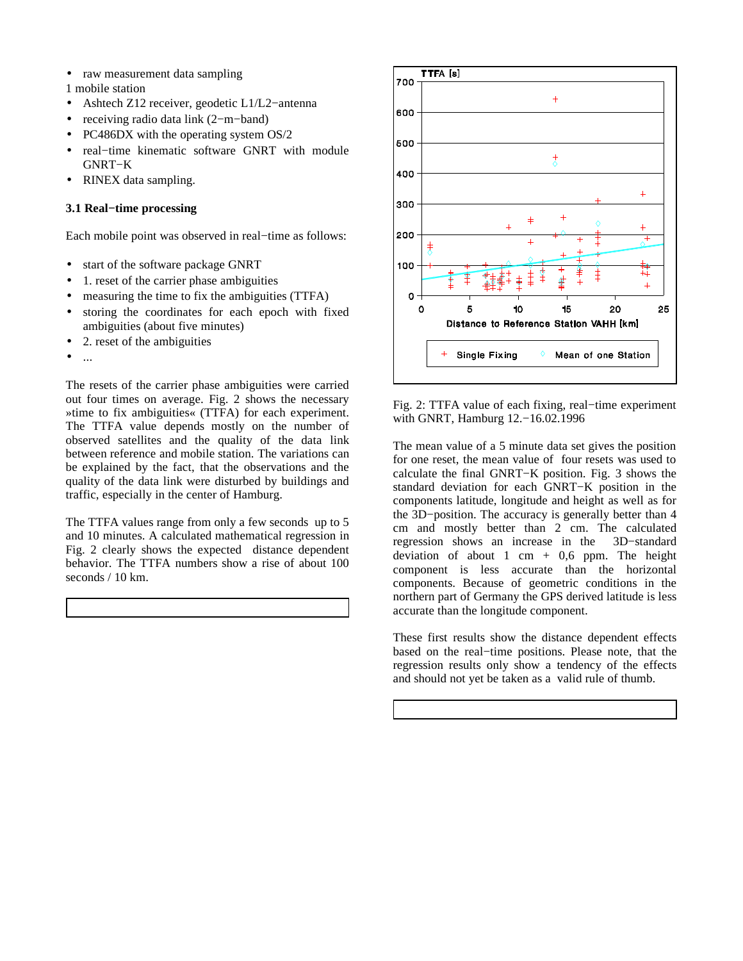- raw measurement data sampling
- 1 mobile station
- Ashtech Z12 receiver, geodetic L1/L2−antenna
- receiving radio data link (2−m−band)
- PC486DX with the operating system OS/2
- real−time kinematic software GNRT with module GNRT−K
- RINEX data sampling.

# **3.1 Real−time processing**

Each mobile point was observed in real−time as follows:

- start of the software package GNRT
- 1. reset of the carrier phase ambiguities
- measuring the time to fix the ambiguities (TTFA)
- storing the coordinates for each epoch with fixed ambiguities (about five minutes)
- 2. reset of the ambiguities
- ...

The resets of the carrier phase ambiguities were carried out four times on average. Fig. 2 shows the necessary »time to fix ambiguities« (TTFA) for each experiment. The TTFA value depends mostly on the number of observed satellites and the quality of the data link between reference and mobile station. The variations can be explained by the fact, that the observations and the quality of the data link were disturbed by buildings and traffic, especially in the center of Hamburg.

The TTFA values range from only a few seconds up to 5 and 10 minutes. A calculated mathematical regression in Fig. 2 clearly shows the expected distance dependent behavior. The TTFA numbers show a rise of about 100 seconds / 10 km.



Fig. 2: TTFA value of each fixing, real−time experiment with GNRT, Hamburg 12.−16.02.1996

The mean value of a 5 minute data set gives the position for one reset, the mean value of four resets was used to calculate the final GNRT−K position. Fig. 3 shows the standard deviation for each GNRT−K position in the components latitude, longitude and height as well as for the 3D−position. The accuracy is generally better than 4 cm and mostly better than 2 cm. The calculated regression shows an increase in the 3D−standard deviation of about 1 cm  $+$  0,6 ppm. The height component is less accurate than the horizontal components. Because of geometric conditions in the northern part of Germany the GPS derived latitude is less accurate than the longitude component.

These first results show the distance dependent effects based on the real−time positions. Please note, that the regression results only show a tendency of the effects and should not yet be taken as a valid rule of thumb.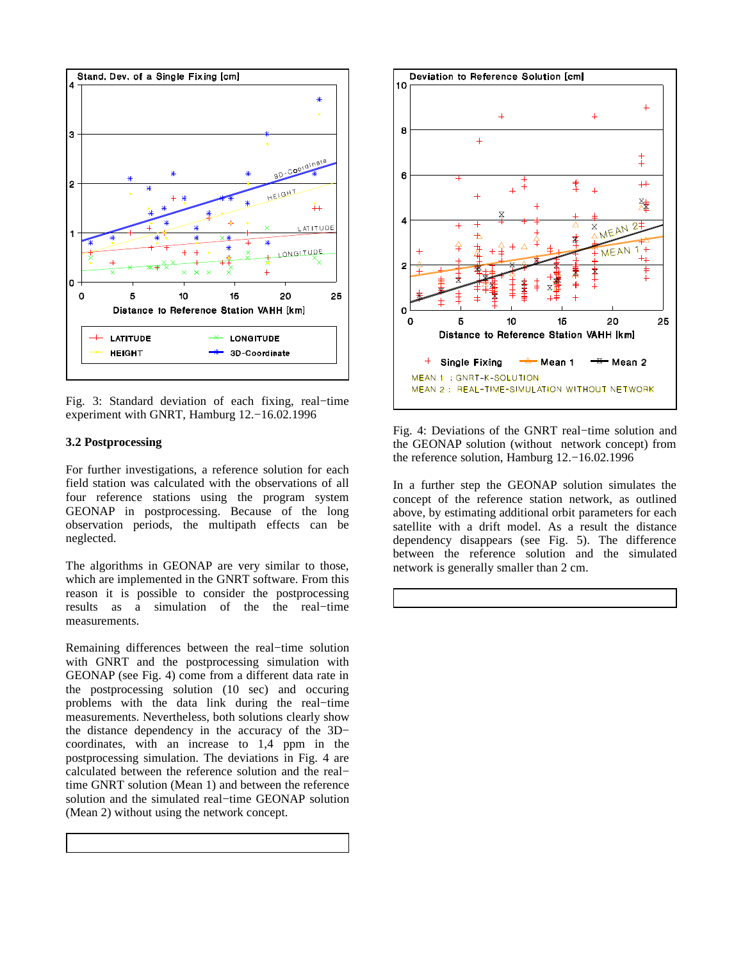

Fig. 3: Standard deviation of each fixing, real−time experiment with GNRT, Hamburg 12.−16.02.1996

#### **3.2 Postprocessing**

For further investigations, a reference solution for each field station was calculated with the observations of all four reference stations using the program system GEONAP in postprocessing. Because of the long observation periods, the multipath effects can be neglected.

The algorithms in GEONAP are very similar to those, which are implemented in the GNRT software. From this reason it is possible to consider the postprocessing results as a simulation of the the real−time measurements.

Remaining differences between the real−time solution with GNRT and the postprocessing simulation with GEONAP (see Fig. 4) come from a different data rate in the postprocessing solution (10 sec) and occuring problems with the data link during the real−time measurements. Nevertheless, both solutions clearly show the distance dependency in the accuracy of the 3D− coordinates, with an increase to 1,4 ppm in the postprocessing simulation. The deviations in Fig. 4 are calculated between the reference solution and the real− time GNRT solution (Mean 1) and between the reference solution and the simulated real−time GEONAP solution (Mean 2) without using the network concept.



Fig. 4: Deviations of the GNRT real−time solution and the GEONAP solution (without network concept) from the reference solution, Hamburg 12.−16.02.1996

In a further step the GEONAP solution simulates the concept of the reference station network, as outlined above, by estimating additional orbit parameters for each satellite with a drift model. As a result the distance dependency disappears (see Fig. 5). The difference between the reference solution and the simulated network is generally smaller than 2 cm.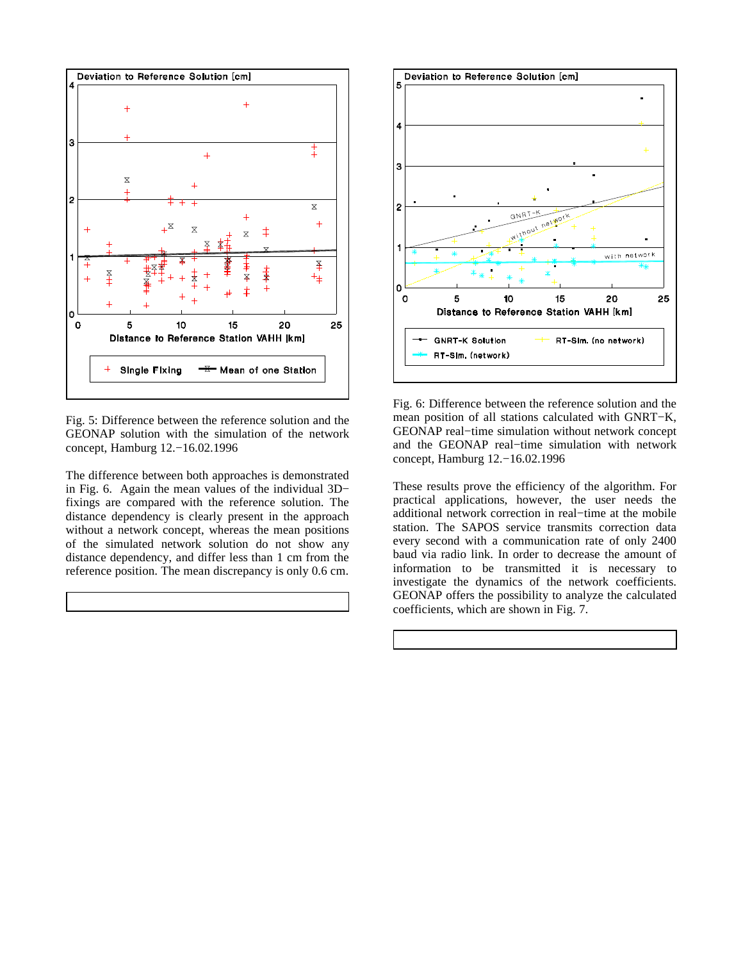

Fig. 5: Difference between the reference solution and the GEONAP solution with the simulation of the network concept, Hamburg 12.−16.02.1996

The difference between both approaches is demonstrated in Fig. 6. Again the mean values of the individual 3D− fixings are compared with the reference solution. The distance dependency is clearly present in the approach without a network concept, whereas the mean positions of the simulated network solution do not show any distance dependency, and differ less than 1 cm from the reference position. The mean discrepancy is only 0.6 cm.



Fig. 6: Difference between the reference solution and the mean position of all stations calculated with GNRT−K, GEONAP real−time simulation without network concept and the GEONAP real−time simulation with network concept, Hamburg 12.−16.02.1996

These results prove the efficiency of the algorithm. For practical applications, however, the user needs the additional network correction in real−time at the mobile station. The SAPOS service transmits correction data every second with a communication rate of only 2400 baud via radio link. In order to decrease the amount of information to be transmitted it is necessary to investigate the dynamics of the network coefficients. GEONAP offers the possibility to analyze the calculated coefficients, which are shown in Fig. 7.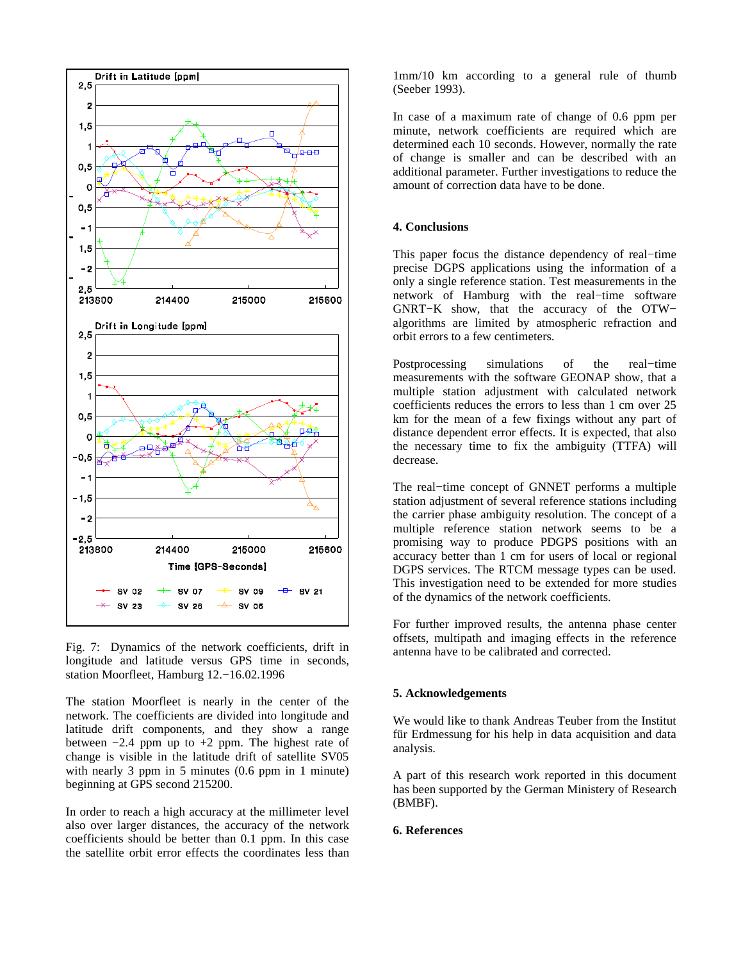

Fig. 7: Dynamics of the network coefficients, drift in longitude and latitude versus GPS time in seconds, station Moorfleet, Hamburg 12.−16.02.1996

The station Moorfleet is nearly in the center of the network. The coefficients are divided into longitude and latitude drift components, and they show a range between  $-2.4$  ppm up to  $+2$  ppm. The highest rate of change is visible in the latitude drift of satellite SV05 with nearly 3 ppm in 5 minutes (0.6 ppm in 1 minute) beginning at GPS second 215200.

In order to reach a high accuracy at the millimeter level also over larger distances, the accuracy of the network coefficients should be better than 0.1 ppm. In this case the satellite orbit error effects the coordinates less than 1mm/10 km according to a general rule of thumb (Seeber 1993).

In case of a maximum rate of change of 0.6 ppm per minute, network coefficients are required which are determined each 10 seconds. However, normally the rate of change is smaller and can be described with an additional parameter. Further investigations to reduce the amount of correction data have to be done.

#### **4. Conclusions**

This paper focus the distance dependency of real−time precise DGPS applications using the information of a only a single reference station. Test measurements in the network of Hamburg with the real−time software GNRT−K show, that the accuracy of the OTW− algorithms are limited by atmospheric refraction and orbit errors to a few centimeters.

Postprocessing simulations of the real−time measurements with the software GEONAP show, that a multiple station adjustment with calculated network coefficients reduces the errors to less than 1 cm over 25 km for the mean of a few fixings without any part of distance dependent error effects. It is expected, that also the necessary time to fix the ambiguity (TTFA) will decrease.

The real−time concept of GNNET performs a multiple station adjustment of several reference stations including the carrier phase ambiguity resolution. The concept of a multiple reference station network seems to be a promising way to produce PDGPS positions with an accuracy better than 1 cm for users of local or regional DGPS services. The RTCM message types can be used. This investigation need to be extended for more studies of the dynamics of the network coefficients.

For further improved results, the antenna phase center offsets, multipath and imaging effects in the reference antenna have to be calibrated and corrected.

# **5. Acknowledgements**

We would like to thank Andreas Teuber from the Institut für Erdmessung for his help in data acquisition and data analysis.

A part of this research work reported in this document has been supported by the German Ministery of Research (BMBF).

# **6. References**